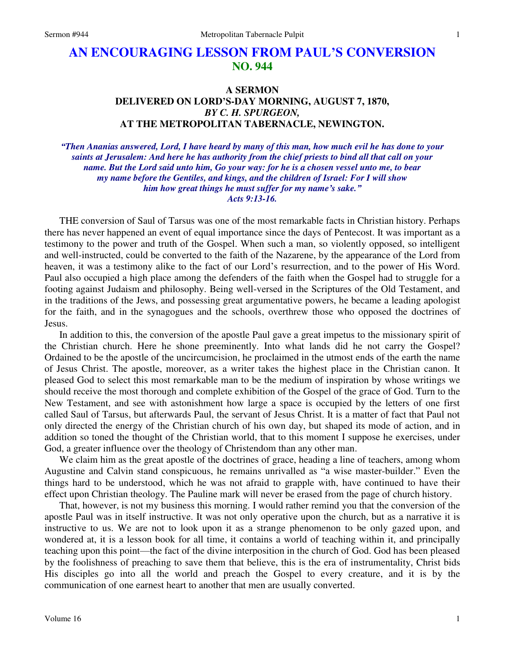## **AN ENCOURAGING LESSON FROM PAUL'S CONVERSION NO. 944**

## **A SERMON DELIVERED ON LORD'S-DAY MORNING, AUGUST 7, 1870,**  *BY C. H. SPURGEON,*  **AT THE METROPOLITAN TABERNACLE, NEWINGTON.**

*"Then Ananias answered, Lord, I have heard by many of this man, how much evil he has done to your saints at Jerusalem: And here he has authority from the chief priests to bind all that call on your name. But the Lord said unto him, Go your way: for he is a chosen vessel unto me, to bear my name before the Gentiles, and kings, and the children of Israel: For I will show him how great things he must suffer for my name's sake." Acts 9:13-16.* 

THE conversion of Saul of Tarsus was one of the most remarkable facts in Christian history. Perhaps there has never happened an event of equal importance since the days of Pentecost. It was important as a testimony to the power and truth of the Gospel. When such a man, so violently opposed, so intelligent and well-instructed, could be converted to the faith of the Nazarene, by the appearance of the Lord from heaven, it was a testimony alike to the fact of our Lord's resurrection, and to the power of His Word. Paul also occupied a high place among the defenders of the faith when the Gospel had to struggle for a footing against Judaism and philosophy. Being well-versed in the Scriptures of the Old Testament, and in the traditions of the Jews, and possessing great argumentative powers, he became a leading apologist for the faith, and in the synagogues and the schools, overthrew those who opposed the doctrines of Jesus.

In addition to this, the conversion of the apostle Paul gave a great impetus to the missionary spirit of the Christian church. Here he shone preeminently. Into what lands did he not carry the Gospel? Ordained to be the apostle of the uncircumcision, he proclaimed in the utmost ends of the earth the name of Jesus Christ. The apostle, moreover, as a writer takes the highest place in the Christian canon. It pleased God to select this most remarkable man to be the medium of inspiration by whose writings we should receive the most thorough and complete exhibition of the Gospel of the grace of God. Turn to the New Testament, and see with astonishment how large a space is occupied by the letters of one first called Saul of Tarsus, but afterwards Paul, the servant of Jesus Christ. It is a matter of fact that Paul not only directed the energy of the Christian church of his own day, but shaped its mode of action, and in addition so toned the thought of the Christian world, that to this moment I suppose he exercises, under God, a greater influence over the theology of Christendom than any other man.

We claim him as the great apostle of the doctrines of grace, heading a line of teachers, among whom Augustine and Calvin stand conspicuous, he remains unrivalled as "a wise master-builder." Even the things hard to be understood, which he was not afraid to grapple with, have continued to have their effect upon Christian theology. The Pauline mark will never be erased from the page of church history.

That, however, is not my business this morning. I would rather remind you that the conversion of the apostle Paul was in itself instructive. It was not only operative upon the church, but as a narrative it is instructive to us. We are not to look upon it as a strange phenomenon to be only gazed upon, and wondered at, it is a lesson book for all time, it contains a world of teaching within it, and principally teaching upon this point—the fact of the divine interposition in the church of God. God has been pleased by the foolishness of preaching to save them that believe, this is the era of instrumentality, Christ bids His disciples go into all the world and preach the Gospel to every creature, and it is by the communication of one earnest heart to another that men are usually converted.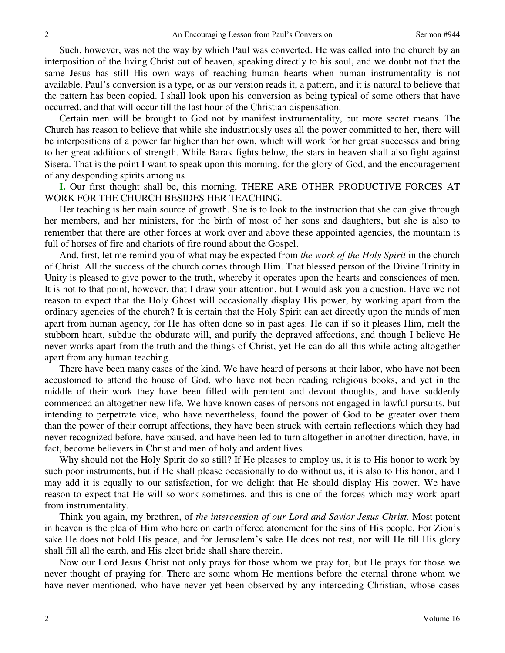Such, however, was not the way by which Paul was converted. He was called into the church by an interposition of the living Christ out of heaven, speaking directly to his soul, and we doubt not that the same Jesus has still His own ways of reaching human hearts when human instrumentality is not available. Paul's conversion is a type, or as our version reads it, a pattern, and it is natural to believe that the pattern has been copied. I shall look upon his conversion as being typical of some others that have occurred, and that will occur till the last hour of the Christian dispensation.

Certain men will be brought to God not by manifest instrumentality, but more secret means. The Church has reason to believe that while she industriously uses all the power committed to her, there will be interpositions of a power far higher than her own, which will work for her great successes and bring to her great additions of strength. While Barak fights below, the stars in heaven shall also fight against Sisera. That is the point I want to speak upon this morning, for the glory of God, and the encouragement of any desponding spirits among us.

**I.** Our first thought shall be, this morning, THERE ARE OTHER PRODUCTIVE FORCES AT WORK FOR THE CHURCH BESIDES HER TEACHING.

Her teaching is her main source of growth. She is to look to the instruction that she can give through her members, and her ministers, for the birth of most of her sons and daughters, but she is also to remember that there are other forces at work over and above these appointed agencies, the mountain is full of horses of fire and chariots of fire round about the Gospel.

And, first, let me remind you of what may be expected from *the work of the Holy Spirit* in the church of Christ. All the success of the church comes through Him. That blessed person of the Divine Trinity in Unity is pleased to give power to the truth, whereby it operates upon the hearts and consciences of men. It is not to that point, however, that I draw your attention, but I would ask you a question. Have we not reason to expect that the Holy Ghost will occasionally display His power, by working apart from the ordinary agencies of the church? It is certain that the Holy Spirit can act directly upon the minds of men apart from human agency, for He has often done so in past ages. He can if so it pleases Him, melt the stubborn heart, subdue the obdurate will, and purify the depraved affections, and though I believe He never works apart from the truth and the things of Christ, yet He can do all this while acting altogether apart from any human teaching.

There have been many cases of the kind. We have heard of persons at their labor, who have not been accustomed to attend the house of God, who have not been reading religious books, and yet in the middle of their work they have been filled with penitent and devout thoughts, and have suddenly commenced an altogether new life. We have known cases of persons not engaged in lawful pursuits, but intending to perpetrate vice, who have nevertheless, found the power of God to be greater over them than the power of their corrupt affections, they have been struck with certain reflections which they had never recognized before, have paused, and have been led to turn altogether in another direction, have, in fact, become believers in Christ and men of holy and ardent lives.

Why should not the Holy Spirit do so still? If He pleases to employ us, it is to His honor to work by such poor instruments, but if He shall please occasionally to do without us, it is also to His honor, and I may add it is equally to our satisfaction, for we delight that He should display His power. We have reason to expect that He will so work sometimes, and this is one of the forces which may work apart from instrumentality.

Think you again, my brethren, of *the intercession of our Lord and Savior Jesus Christ.* Most potent in heaven is the plea of Him who here on earth offered atonement for the sins of His people. For Zion's sake He does not hold His peace, and for Jerusalem's sake He does not rest, nor will He till His glory shall fill all the earth, and His elect bride shall share therein.

Now our Lord Jesus Christ not only prays for those whom we pray for, but He prays for those we never thought of praying for. There are some whom He mentions before the eternal throne whom we have never mentioned, who have never yet been observed by any interceding Christian, whose cases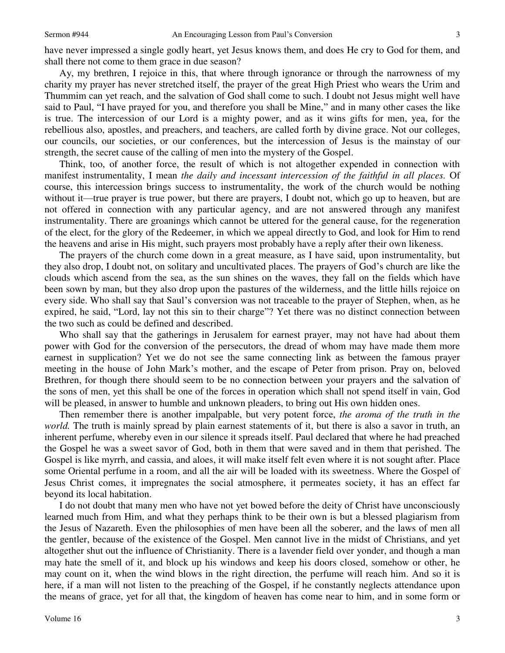have never impressed a single godly heart, yet Jesus knows them, and does He cry to God for them, and shall there not come to them grace in due season?

Ay, my brethren, I rejoice in this, that where through ignorance or through the narrowness of my charity my prayer has never stretched itself, the prayer of the great High Priest who wears the Urim and Thummim can yet reach, and the salvation of God shall come to such. I doubt not Jesus might well have said to Paul, "I have prayed for you, and therefore you shall be Mine," and in many other cases the like is true. The intercession of our Lord is a mighty power, and as it wins gifts for men, yea, for the rebellious also, apostles, and preachers, and teachers, are called forth by divine grace. Not our colleges, our councils, our societies, or our conferences, but the intercession of Jesus is the mainstay of our strength, the secret cause of the calling of men into the mystery of the Gospel.

Think, too, of another force, the result of which is not altogether expended in connection with manifest instrumentality, I mean *the daily and incessant intercession of the faithful in all places.* Of course, this intercession brings success to instrumentality, the work of the church would be nothing without it—true prayer is true power, but there are prayers, I doubt not, which go up to heaven, but are not offered in connection with any particular agency, and are not answered through any manifest instrumentality. There are groanings which cannot be uttered for the general cause, for the regeneration of the elect, for the glory of the Redeemer, in which we appeal directly to God, and look for Him to rend the heavens and arise in His might, such prayers most probably have a reply after their own likeness.

The prayers of the church come down in a great measure, as I have said, upon instrumentality, but they also drop, I doubt not, on solitary and uncultivated places. The prayers of God's church are like the clouds which ascend from the sea, as the sun shines on the waves, they fall on the fields which have been sown by man, but they also drop upon the pastures of the wilderness, and the little hills rejoice on every side. Who shall say that Saul's conversion was not traceable to the prayer of Stephen, when, as he expired, he said, "Lord, lay not this sin to their charge"? Yet there was no distinct connection between the two such as could be defined and described.

Who shall say that the gatherings in Jerusalem for earnest prayer, may not have had about them power with God for the conversion of the persecutors, the dread of whom may have made them more earnest in supplication? Yet we do not see the same connecting link as between the famous prayer meeting in the house of John Mark's mother, and the escape of Peter from prison. Pray on, beloved Brethren, for though there should seem to be no connection between your prayers and the salvation of the sons of men, yet this shall be one of the forces in operation which shall not spend itself in vain, God will be pleased, in answer to humble and unknown pleaders, to bring out His own hidden ones.

Then remember there is another impalpable, but very potent force, *the aroma of the truth in the world.* The truth is mainly spread by plain earnest statements of it, but there is also a savor in truth, an inherent perfume, whereby even in our silence it spreads itself. Paul declared that where he had preached the Gospel he was a sweet savor of God, both in them that were saved and in them that perished. The Gospel is like myrrh, and cassia, and aloes, it will make itself felt even where it is not sought after. Place some Oriental perfume in a room, and all the air will be loaded with its sweetness. Where the Gospel of Jesus Christ comes, it impregnates the social atmosphere, it permeates society, it has an effect far beyond its local habitation.

I do not doubt that many men who have not yet bowed before the deity of Christ have unconsciously learned much from Him, and what they perhaps think to be their own is but a blessed plagiarism from the Jesus of Nazareth. Even the philosophies of men have been all the soberer, and the laws of men all the gentler, because of the existence of the Gospel. Men cannot live in the midst of Christians, and yet altogether shut out the influence of Christianity. There is a lavender field over yonder, and though a man may hate the smell of it, and block up his windows and keep his doors closed, somehow or other, he may count on it, when the wind blows in the right direction, the perfume will reach him. And so it is here, if a man will not listen to the preaching of the Gospel, if he constantly neglects attendance upon the means of grace, yet for all that, the kingdom of heaven has come near to him, and in some form or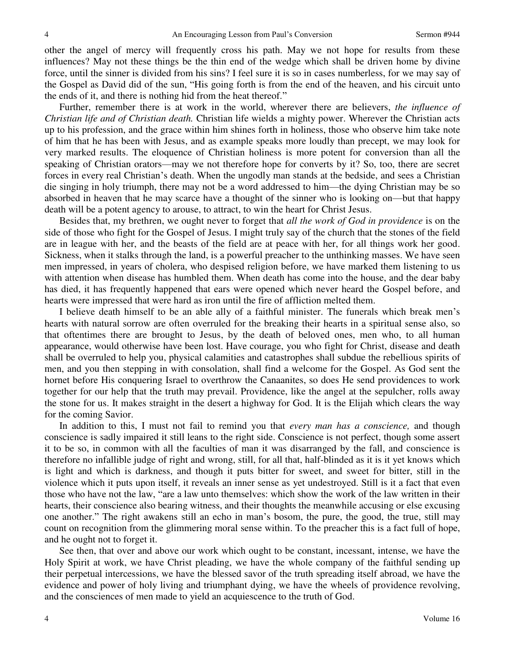other the angel of mercy will frequently cross his path. May we not hope for results from these influences? May not these things be the thin end of the wedge which shall be driven home by divine force, until the sinner is divided from his sins? I feel sure it is so in cases numberless, for we may say of the Gospel as David did of the sun, "His going forth is from the end of the heaven, and his circuit unto the ends of it, and there is nothing hid from the heat thereof."

Further, remember there is at work in the world, wherever there are believers, *the influence of Christian life and of Christian death.* Christian life wields a mighty power. Wherever the Christian acts up to his profession, and the grace within him shines forth in holiness, those who observe him take note of him that he has been with Jesus, and as example speaks more loudly than precept, we may look for very marked results. The eloquence of Christian holiness is more potent for conversion than all the speaking of Christian orators—may we not therefore hope for converts by it? So, too, there are secret forces in every real Christian's death. When the ungodly man stands at the bedside, and sees a Christian die singing in holy triumph, there may not be a word addressed to him—the dying Christian may be so absorbed in heaven that he may scarce have a thought of the sinner who is looking on—but that happy death will be a potent agency to arouse, to attract, to win the heart for Christ Jesus.

Besides that, my brethren, we ought never to forget that *all the work of God in providence* is on the side of those who fight for the Gospel of Jesus. I might truly say of the church that the stones of the field are in league with her, and the beasts of the field are at peace with her, for all things work her good. Sickness, when it stalks through the land, is a powerful preacher to the unthinking masses. We have seen men impressed, in years of cholera, who despised religion before, we have marked them listening to us with attention when disease has humbled them. When death has come into the house, and the dear baby has died, it has frequently happened that ears were opened which never heard the Gospel before, and hearts were impressed that were hard as iron until the fire of affliction melted them.

I believe death himself to be an able ally of a faithful minister. The funerals which break men's hearts with natural sorrow are often overruled for the breaking their hearts in a spiritual sense also, so that oftentimes there are brought to Jesus, by the death of beloved ones, men who, to all human appearance, would otherwise have been lost. Have courage, you who fight for Christ, disease and death shall be overruled to help you, physical calamities and catastrophes shall subdue the rebellious spirits of men, and you then stepping in with consolation, shall find a welcome for the Gospel. As God sent the hornet before His conquering Israel to overthrow the Canaanites, so does He send providences to work together for our help that the truth may prevail. Providence, like the angel at the sepulcher, rolls away the stone for us. It makes straight in the desert a highway for God. It is the Elijah which clears the way for the coming Savior.

In addition to this, I must not fail to remind you that *every man has a conscience,* and though conscience is sadly impaired it still leans to the right side. Conscience is not perfect, though some assert it to be so, in common with all the faculties of man it was disarranged by the fall, and conscience is therefore no infallible judge of right and wrong, still, for all that, half-blinded as it is it yet knows which is light and which is darkness, and though it puts bitter for sweet, and sweet for bitter, still in the violence which it puts upon itself, it reveals an inner sense as yet undestroyed. Still is it a fact that even those who have not the law, "are a law unto themselves: which show the work of the law written in their hearts, their conscience also bearing witness, and their thoughts the meanwhile accusing or else excusing one another." The right awakens still an echo in man's bosom, the pure, the good, the true, still may count on recognition from the glimmering moral sense within. To the preacher this is a fact full of hope, and he ought not to forget it.

See then, that over and above our work which ought to be constant, incessant, intense, we have the Holy Spirit at work, we have Christ pleading, we have the whole company of the faithful sending up their perpetual intercessions, we have the blessed savor of the truth spreading itself abroad, we have the evidence and power of holy living and triumphant dying, we have the wheels of providence revolving, and the consciences of men made to yield an acquiescence to the truth of God.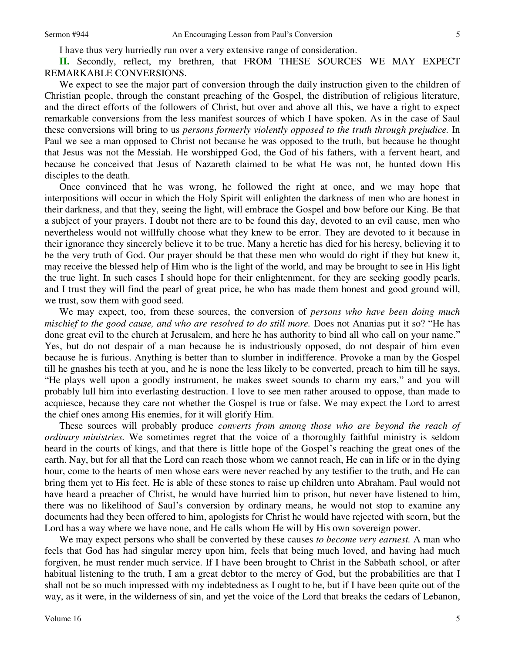I have thus very hurriedly run over a very extensive range of consideration.

**II.** Secondly, reflect, my brethren, that FROM THESE SOURCES WE MAY EXPECT REMARKABLE CONVERSIONS.

We expect to see the major part of conversion through the daily instruction given to the children of Christian people, through the constant preaching of the Gospel, the distribution of religious literature, and the direct efforts of the followers of Christ, but over and above all this, we have a right to expect remarkable conversions from the less manifest sources of which I have spoken. As in the case of Saul these conversions will bring to us *persons formerly violently opposed to the truth through prejudice.* In Paul we see a man opposed to Christ not because he was opposed to the truth, but because he thought that Jesus was not the Messiah. He worshipped God, the God of his fathers, with a fervent heart, and because he conceived that Jesus of Nazareth claimed to be what He was not, he hunted down His disciples to the death.

Once convinced that he was wrong, he followed the right at once, and we may hope that interpositions will occur in which the Holy Spirit will enlighten the darkness of men who are honest in their darkness, and that they, seeing the light, will embrace the Gospel and bow before our King. Be that a subject of your prayers. I doubt not there are to be found this day, devoted to an evil cause, men who nevertheless would not willfully choose what they knew to be error. They are devoted to it because in their ignorance they sincerely believe it to be true. Many a heretic has died for his heresy, believing it to be the very truth of God. Our prayer should be that these men who would do right if they but knew it, may receive the blessed help of Him who is the light of the world, and may be brought to see in His light the true light. In such cases I should hope for their enlightenment, for they are seeking goodly pearls, and I trust they will find the pearl of great price, he who has made them honest and good ground will, we trust, sow them with good seed.

We may expect, too, from these sources, the conversion of *persons who have been doing much mischief to the good cause, and who are resolved to do still more.* Does not Ananias put it so? "He has done great evil to the church at Jerusalem, and here he has authority to bind all who call on your name." Yes, but do not despair of a man because he is industriously opposed, do not despair of him even because he is furious. Anything is better than to slumber in indifference. Provoke a man by the Gospel till he gnashes his teeth at you, and he is none the less likely to be converted, preach to him till he says, "He plays well upon a goodly instrument, he makes sweet sounds to charm my ears," and you will probably lull him into everlasting destruction. I love to see men rather aroused to oppose, than made to acquiesce, because they care not whether the Gospel is true or false. We may expect the Lord to arrest the chief ones among His enemies, for it will glorify Him.

These sources will probably produce *converts from among those who are beyond the reach of ordinary ministries.* We sometimes regret that the voice of a thoroughly faithful ministry is seldom heard in the courts of kings, and that there is little hope of the Gospel's reaching the great ones of the earth. Nay, but for all that the Lord can reach those whom we cannot reach, He can in life or in the dying hour, come to the hearts of men whose ears were never reached by any testifier to the truth, and He can bring them yet to His feet. He is able of these stones to raise up children unto Abraham. Paul would not have heard a preacher of Christ, he would have hurried him to prison, but never have listened to him, there was no likelihood of Saul's conversion by ordinary means, he would not stop to examine any documents had they been offered to him, apologists for Christ he would have rejected with scorn, but the Lord has a way where we have none, and He calls whom He will by His own sovereign power.

We may expect persons who shall be converted by these causes *to become very earnest.* A man who feels that God has had singular mercy upon him, feels that being much loved, and having had much forgiven, he must render much service. If I have been brought to Christ in the Sabbath school, or after habitual listening to the truth, I am a great debtor to the mercy of God, but the probabilities are that I shall not be so much impressed with my indebtedness as I ought to be, but if I have been quite out of the way, as it were, in the wilderness of sin, and yet the voice of the Lord that breaks the cedars of Lebanon,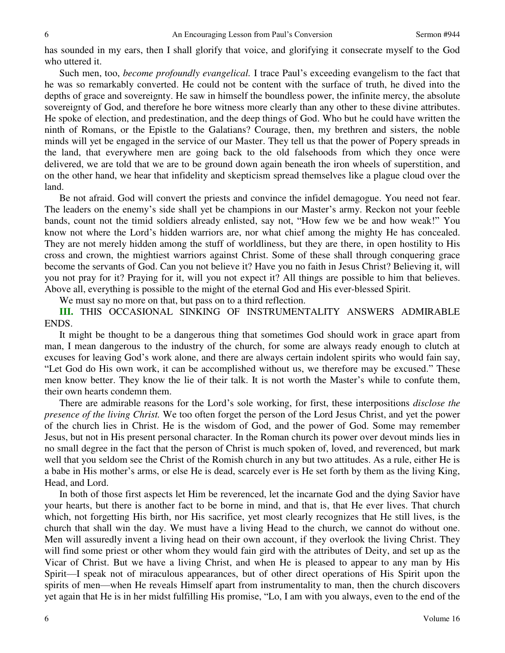has sounded in my ears, then I shall glorify that voice, and glorifying it consecrate myself to the God who uttered it.

Such men, too, *become profoundly evangelical.* I trace Paul's exceeding evangelism to the fact that he was so remarkably converted. He could not be content with the surface of truth, he dived into the depths of grace and sovereignty. He saw in himself the boundless power, the infinite mercy, the absolute sovereignty of God, and therefore he bore witness more clearly than any other to these divine attributes. He spoke of election, and predestination, and the deep things of God. Who but he could have written the ninth of Romans, or the Epistle to the Galatians? Courage, then, my brethren and sisters, the noble minds will yet be engaged in the service of our Master. They tell us that the power of Popery spreads in the land, that everywhere men are going back to the old falsehoods from which they once were delivered, we are told that we are to be ground down again beneath the iron wheels of superstition, and on the other hand, we hear that infidelity and skepticism spread themselves like a plague cloud over the land.

Be not afraid. God will convert the priests and convince the infidel demagogue. You need not fear. The leaders on the enemy's side shall yet be champions in our Master's army. Reckon not your feeble bands, count not the timid soldiers already enlisted, say not, "How few we be and how weak!" You know not where the Lord's hidden warriors are, nor what chief among the mighty He has concealed. They are not merely hidden among the stuff of worldliness, but they are there, in open hostility to His cross and crown, the mightiest warriors against Christ. Some of these shall through conquering grace become the servants of God. Can you not believe it? Have you no faith in Jesus Christ? Believing it, will you not pray for it? Praying for it, will you not expect it? All things are possible to him that believes. Above all, everything is possible to the might of the eternal God and His ever-blessed Spirit.

We must say no more on that, but pass on to a third reflection.

**III.** THIS OCCASIONAL SINKING OF INSTRUMENTALITY ANSWERS ADMIRABLE ENDS.

It might be thought to be a dangerous thing that sometimes God should work in grace apart from man, I mean dangerous to the industry of the church, for some are always ready enough to clutch at excuses for leaving God's work alone, and there are always certain indolent spirits who would fain say, "Let God do His own work, it can be accomplished without us, we therefore may be excused." These men know better. They know the lie of their talk. It is not worth the Master's while to confute them, their own hearts condemn them.

There are admirable reasons for the Lord's sole working, for first, these interpositions *disclose the presence of the living Christ.* We too often forget the person of the Lord Jesus Christ, and yet the power of the church lies in Christ. He is the wisdom of God, and the power of God. Some may remember Jesus, but not in His present personal character. In the Roman church its power over devout minds lies in no small degree in the fact that the person of Christ is much spoken of, loved, and reverenced, but mark well that you seldom see the Christ of the Romish church in any but two attitudes. As a rule, either He is a babe in His mother's arms, or else He is dead, scarcely ever is He set forth by them as the living King, Head, and Lord.

In both of those first aspects let Him be reverenced, let the incarnate God and the dying Savior have your hearts, but there is another fact to be borne in mind, and that is, that He ever lives. That church which, not forgetting His birth, nor His sacrifice, yet most clearly recognizes that He still lives, is the church that shall win the day. We must have a living Head to the church, we cannot do without one. Men will assuredly invent a living head on their own account, if they overlook the living Christ. They will find some priest or other whom they would fain gird with the attributes of Deity, and set up as the Vicar of Christ. But we have a living Christ, and when He is pleased to appear to any man by His Spirit—I speak not of miraculous appearances, but of other direct operations of His Spirit upon the spirits of men—when He reveals Himself apart from instrumentality to man, then the church discovers yet again that He is in her midst fulfilling His promise, "Lo, I am with you always, even to the end of the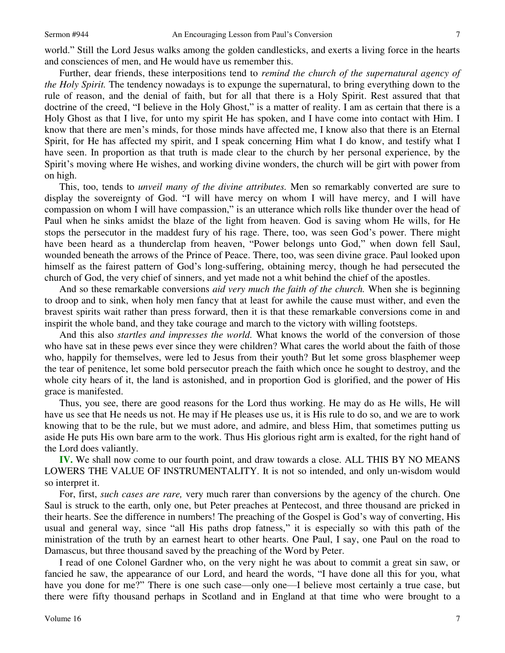world." Still the Lord Jesus walks among the golden candlesticks, and exerts a living force in the hearts and consciences of men, and He would have us remember this.

Further, dear friends, these interpositions tend to *remind the church of the supernatural agency of the Holy Spirit.* The tendency nowadays is to expunge the supernatural, to bring everything down to the rule of reason, and the denial of faith, but for all that there is a Holy Spirit. Rest assured that that doctrine of the creed, "I believe in the Holy Ghost," is a matter of reality. I am as certain that there is a Holy Ghost as that I live, for unto my spirit He has spoken, and I have come into contact with Him. I know that there are men's minds, for those minds have affected me, I know also that there is an Eternal Spirit, for He has affected my spirit, and I speak concerning Him what I do know, and testify what I have seen. In proportion as that truth is made clear to the church by her personal experience, by the Spirit's moving where He wishes, and working divine wonders, the church will be girt with power from on high.

This, too, tends to *unveil many of the divine attributes.* Men so remarkably converted are sure to display the sovereignty of God. "I will have mercy on whom I will have mercy, and I will have compassion on whom I will have compassion," is an utterance which rolls like thunder over the head of Paul when he sinks amidst the blaze of the light from heaven. God is saving whom He wills, for He stops the persecutor in the maddest fury of his rage. There, too, was seen God's power. There might have been heard as a thunderclap from heaven, "Power belongs unto God," when down fell Saul, wounded beneath the arrows of the Prince of Peace. There, too, was seen divine grace. Paul looked upon himself as the fairest pattern of God's long-suffering, obtaining mercy, though he had persecuted the church of God, the very chief of sinners, and yet made not a whit behind the chief of the apostles.

And so these remarkable conversions *aid very much the faith of the church.* When she is beginning to droop and to sink, when holy men fancy that at least for awhile the cause must wither, and even the bravest spirits wait rather than press forward, then it is that these remarkable conversions come in and inspirit the whole band, and they take courage and march to the victory with willing footsteps.

And this also *startles and impresses the world.* What knows the world of the conversion of those who have sat in these pews ever since they were children? What cares the world about the faith of those who, happily for themselves, were led to Jesus from their youth? But let some gross blasphemer weep the tear of penitence, let some bold persecutor preach the faith which once he sought to destroy, and the whole city hears of it, the land is astonished, and in proportion God is glorified, and the power of His grace is manifested.

Thus, you see, there are good reasons for the Lord thus working. He may do as He wills, He will have us see that He needs us not. He may if He pleases use us, it is His rule to do so, and we are to work knowing that to be the rule, but we must adore, and admire, and bless Him, that sometimes putting us aside He puts His own bare arm to the work. Thus His glorious right arm is exalted, for the right hand of the Lord does valiantly.

**IV.** We shall now come to our fourth point, and draw towards a close. ALL THIS BY NO MEANS LOWERS THE VALUE OF INSTRUMENTALITY. It is not so intended, and only un-wisdom would so interpret it.

For, first, *such cases are rare,* very much rarer than conversions by the agency of the church. One Saul is struck to the earth, only one, but Peter preaches at Pentecost, and three thousand are pricked in their hearts. See the difference in numbers! The preaching of the Gospel is God's way of converting, His usual and general way, since "all His paths drop fatness," it is especially so with this path of the ministration of the truth by an earnest heart to other hearts. One Paul, I say, one Paul on the road to Damascus, but three thousand saved by the preaching of the Word by Peter.

I read of one Colonel Gardner who, on the very night he was about to commit a great sin saw, or fancied he saw, the appearance of our Lord, and heard the words, "I have done all this for you, what have you done for me?" There is one such case—only one—I believe most certainly a true case, but there were fifty thousand perhaps in Scotland and in England at that time who were brought to a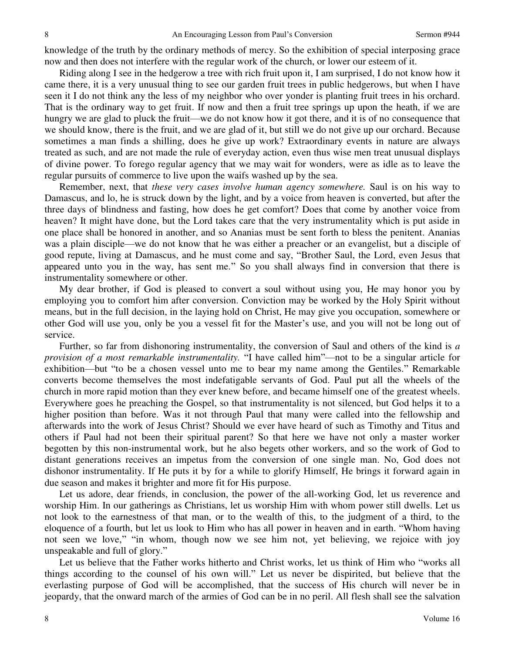knowledge of the truth by the ordinary methods of mercy. So the exhibition of special interposing grace now and then does not interfere with the regular work of the church, or lower our esteem of it.

Riding along I see in the hedgerow a tree with rich fruit upon it, I am surprised, I do not know how it came there, it is a very unusual thing to see our garden fruit trees in public hedgerows, but when I have seen it I do not think any the less of my neighbor who over yonder is planting fruit trees in his orchard. That is the ordinary way to get fruit. If now and then a fruit tree springs up upon the heath, if we are hungry we are glad to pluck the fruit—we do not know how it got there, and it is of no consequence that we should know, there is the fruit, and we are glad of it, but still we do not give up our orchard. Because sometimes a man finds a shilling, does he give up work? Extraordinary events in nature are always treated as such, and are not made the rule of everyday action, even thus wise men treat unusual displays of divine power. To forego regular agency that we may wait for wonders, were as idle as to leave the regular pursuits of commerce to live upon the waifs washed up by the sea.

Remember, next, that *these very cases involve human agency somewhere.* Saul is on his way to Damascus, and lo, he is struck down by the light, and by a voice from heaven is converted, but after the three days of blindness and fasting, how does he get comfort? Does that come by another voice from heaven? It might have done, but the Lord takes care that the very instrumentality which is put aside in one place shall be honored in another, and so Ananias must be sent forth to bless the penitent. Ananias was a plain disciple—we do not know that he was either a preacher or an evangelist, but a disciple of good repute, living at Damascus, and he must come and say, "Brother Saul, the Lord, even Jesus that appeared unto you in the way, has sent me." So you shall always find in conversion that there is instrumentality somewhere or other.

My dear brother, if God is pleased to convert a soul without using you, He may honor you by employing you to comfort him after conversion. Conviction may be worked by the Holy Spirit without means, but in the full decision, in the laying hold on Christ, He may give you occupation, somewhere or other God will use you, only be you a vessel fit for the Master's use, and you will not be long out of service.

Further, so far from dishonoring instrumentality, the conversion of Saul and others of the kind is *a provision of a most remarkable instrumentality.* "I have called him"—not to be a singular article for exhibition—but "to be a chosen vessel unto me to bear my name among the Gentiles." Remarkable converts become themselves the most indefatigable servants of God. Paul put all the wheels of the church in more rapid motion than they ever knew before, and became himself one of the greatest wheels. Everywhere goes he preaching the Gospel, so that instrumentality is not silenced, but God helps it to a higher position than before. Was it not through Paul that many were called into the fellowship and afterwards into the work of Jesus Christ? Should we ever have heard of such as Timothy and Titus and others if Paul had not been their spiritual parent? So that here we have not only a master worker begotten by this non-instrumental work, but he also begets other workers, and so the work of God to distant generations receives an impetus from the conversion of one single man. No, God does not dishonor instrumentality. If He puts it by for a while to glorify Himself, He brings it forward again in due season and makes it brighter and more fit for His purpose.

Let us adore, dear friends, in conclusion, the power of the all-working God, let us reverence and worship Him. In our gatherings as Christians, let us worship Him with whom power still dwells. Let us not look to the earnestness of that man, or to the wealth of this, to the judgment of a third, to the eloquence of a fourth, but let us look to Him who has all power in heaven and in earth. "Whom having not seen we love," "in whom, though now we see him not, yet believing, we rejoice with joy unspeakable and full of glory."

Let us believe that the Father works hitherto and Christ works, let us think of Him who "works all things according to the counsel of his own will." Let us never be dispirited, but believe that the everlasting purpose of God will be accomplished, that the success of His church will never be in jeopardy, that the onward march of the armies of God can be in no peril. All flesh shall see the salvation